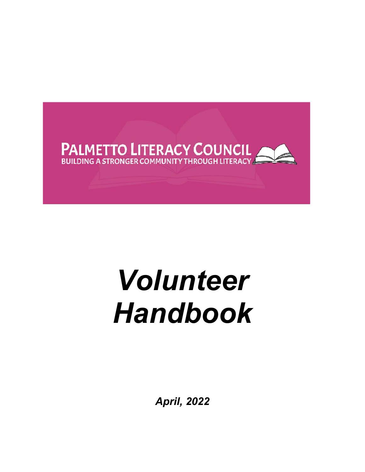

# *Volunteer Handbook*

*April, 2022*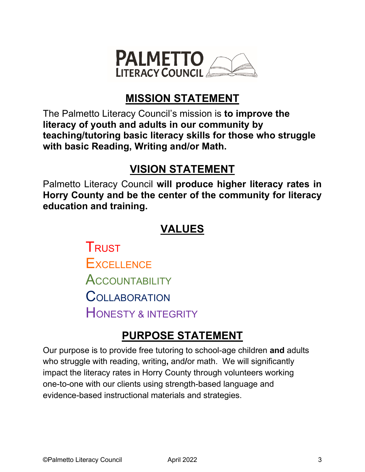

# **MISSION STATEMENT**

The Palmetto Literacy Council's mission is **to improve the literacy of youth and adults in our community by teaching/tutoring basic literacy skills for those who struggle with basic Reading, Writing and/or Math.**

# **VISION STATEMENT**

Palmetto Literacy Council **will produce higher literacy rates in Horry County and be the center of the community for literacy education and training.** 

# **VALUES**

**TRUST EXCELLENCE ACCOUNTABILITY COLLABORATION** HONESTY & INTEGRITY

# **PURPOSE STATEMENT**

Our purpose is to provide free tutoring to school-age children **and** adults who struggle with reading, writing**,** and**/**or math. We will significantly impact the literacy rates in Horry County through volunteers working one-to-one with our clients using strength-based language and evidence-based instructional materials and strategies.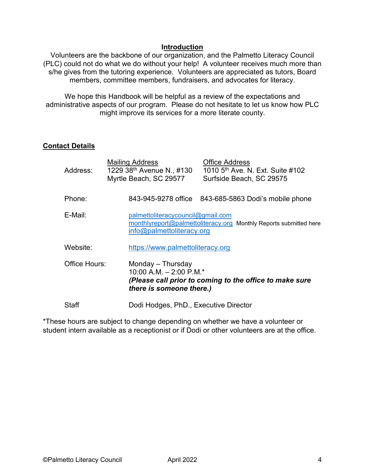#### **Introduction**

Volunteers are the backbone of our organization, and the Palmetto Literacy Council (PLC) could not do what we do without your help! A volunteer receives much more than s/he gives from the tutoring experience. Volunteers are appreciated as tutors, Board members, committee members, fundraisers, and advocates for literacy.

We hope this Handbook will be helpful as a review of the expectations and administrative aspects of our program. Please do not hesitate to let us know how PLC might improve its services for a more literate county.

## **Contact Details**

| Address:      | <b>Office Address</b><br><b>Mailing Address</b><br>1010 5 <sup>th</sup> Ave. N. Ext. Suite #102<br>1229 38 <sup>th</sup> Avenue N., #130<br>Myrtle Beach, SC 29577<br>Surfside Beach, SC 29575 |
|---------------|------------------------------------------------------------------------------------------------------------------------------------------------------------------------------------------------|
| Phone:        | 843-945-9278 office 843-685-5863 Dodi's mobile phone                                                                                                                                           |
| E-Mail:       | palmettoliteracycouncil@gmail.com<br>monthlyreport@palmettoliteracy.org Monthly Reports submitted here<br>info@palmettoliteracy.org                                                            |
| Website:      | https://www.palmettoliteracy.org                                                                                                                                                               |
| Office Hours: | Monday – Thursday<br>10:00 A.M. $-$ 2:00 P.M.*<br>(Please call prior to coming to the office to make sure<br>there is someone there.)                                                          |
| Staff         | Dodi Hodges, PhD., Executive Director                                                                                                                                                          |

\*These hours are subject to change depending on whether we have a volunteer or student intern available as a receptionist or if Dodi or other volunteers are at the office.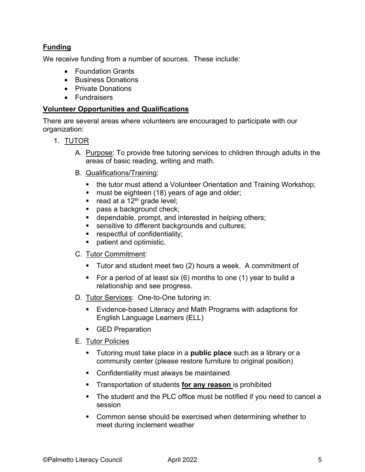# **Funding**

We receive funding from a number of sources. These include:

- Foundation Grants
- Business Donations
- Private Donations
- Fundraisers

#### **Volunteer Opportunities and Qualifications**

There are several areas where volunteers are encouraged to participate with our organization:

- 1. TUTOR
	- A. Purpose: To provide free tutoring services to children through adults in the areas of basic reading, writing and math.
	- B. Qualifications/Training:
		- the tutor must attend a Volunteer Orientation and Training Workshop;
		- **nust be eighteen (18) years of age and older;**
		- read at a  $12^{th}$  grade level;
		- pass a background check;
		- **dependable, prompt, and interested in helping others;**
		- **sensitive to different backgrounds and cultures;**
		- **Fig. 5** respectful of confidentiality;
		- **patient and optimistic.**

#### C. Tutor Commitment:

- **Tutor and student meet two (2) hours a week. A commitment of**
- For a period of at least six  $(6)$  months to one  $(1)$  year to build a relationship and see progress.
- D. Tutor Services: One-to-One tutoring in:
	- Evidence-based Literacy and Math Programs with adaptions for English Language Learners (ELL)
	- GED Preparation
- E. Tutor Policies
	- Tutoring must take place in a **public place** such as a library or a community center (please restore furniture to original position)
	- Confidentiality must always be maintained
	- Transportation of students **for any reason** is prohibited
	- The student and the PLC office must be notified if you need to cancel a session
	- Common sense should be exercised when determining whether to meet during inclement weather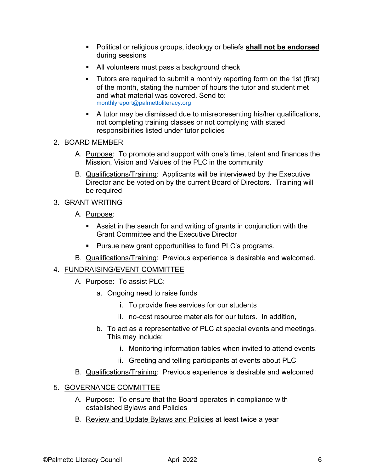- Political or religious groups, ideology or beliefs **shall not be endorsed**  during sessions
- All volunteers must pass a background check
- Tutors are required to submit a monthly reporting form on the 1st (first) of the month, stating the number of hours the tutor and student met and what material was covered. Send to: monthlyreport@palmettoliteracy.org
- A tutor may be dismissed due to misrepresenting his/her qualifications, not completing training classes or not complying with stated responsibilities listed under tutor policies

# 2. BOARD MEMBER

- A. Purpose: To promote and support with one's time, talent and finances the Mission, Vision and Values of the PLC in the community
- B. Qualifications/Training: Applicants will be interviewed by the Executive Director and be voted on by the current Board of Directors. Training will be required

# 3. GRANT WRITING

- A. Purpose:
	- Assist in the search for and writing of grants in conjunction with the Grant Committee and the Executive Director
	- **Pursue new grant opportunities to fund PLC's programs.**
- B. Qualifications/Training: Previous experience is desirable and welcomed.

# 4. FUNDRAISING/EVENT COMMITTEE

- A. Purpose: To assist PLC:
	- a. Ongoing need to raise funds
		- i. To provide free services for our students
		- ii. no-cost resource materials for our tutors. In addition,
	- b. To act as a representative of PLC at special events and meetings. This may include:
		- i. Monitoring information tables when invited to attend events
		- ii. Greeting and telling participants at events about PLC
- B. Qualifications/Training: Previous experience is desirable and welcomed

# 5. GOVERNANCE COMMITTEE

- A. Purpose: To ensure that the Board operates in compliance with established Bylaws and Policies
- B. Review and Update Bylaws and Policies at least twice a year